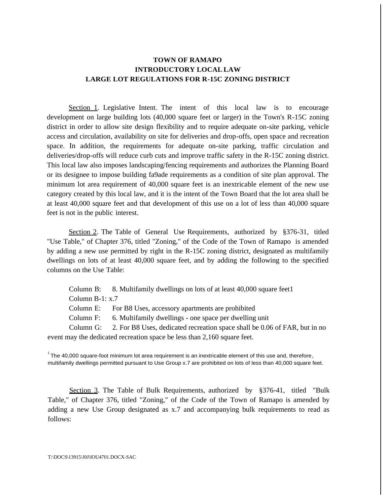## **TOWN OF RAMAPO INTRODUCTORY LOCAL LAW LARGE LOT REGULATIONS FOR R-15C ZONING DISTRICT**

Section 1. Legislative Intent. The intent of this local law is to encourage development on large building lots (40,000 square feet or larger) in the Town's R-15C zoning district in order to allow site design flexibility and to require adequate on-site parking, vehicle access and circulation, availability on site for deliveries and drop-offs, open space and recreation space. In addition, the requirements for adequate on-site parking, traffic circulation and deliveries/drop-offs will reduce curb cuts and improve traffic safety in the R-15C zoning district. This local law also imposes landscaping/fencing requirements and authorizes the Planning Board or its designee to impose building fa9ade requirements as a condition of site plan approval. The minimum lot area requirement of 40,000 square feet is an inextricable element of the new use category created by this local law, and it is the intent of the Town Board that the lot area shall be at least 40,000 square feet and that development of this use on a lot of less than 40,000 square feet is not in the public interest.

Section 2. The Table of General Use Requirements, authorized by §376-31, titled "Use Table," of Chapter 376, titled "Zoning," of the Code of the Town of Ramapo is amended by adding a new use permitted by right in the R-15C zoning district, designated as multifamily dwellings on lots of at least 40,000 square feet, and by adding the following to the specified columns on the Use Table:

Column B: 8. Multifamily dwellings on lots of at least 40,000 square feet1

Column B-1: x.7

Column E: For B8 Uses, accessory apartments are prohibited

Column F: 6. Multifamily dwellings - one space per dwelling unit

Column G: 2. For B8 Uses, dedicated recreation space shall be 0.06 of FAR, but in no event may the dedicated recreation space be less than 2,160 square feet.

 $1$ The 40,000 square-foot minimum lot area requirement is an inextricable element of this use and, therefore, multifamily dwellings permitted pursuant to Use Group x.7 are prohibited on lots of less than 40,000 square feet.

Section 3. The Table of Bulk Requirements, authorized by §376-41, titled "Bulk Table," of Chapter 376, titled "Zoning," of the Code of the Town of Ramapo is amended by adding a new Use Group designated as x.7 and accompanying bulk requirements to read as follows: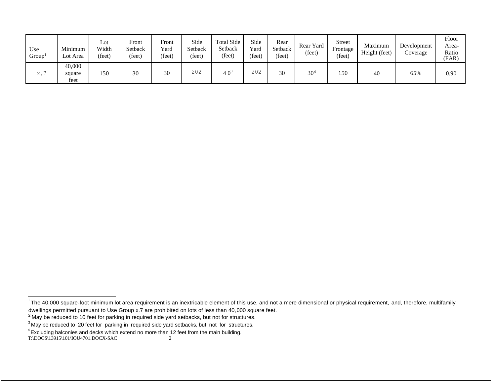| Use<br>Group <sup>1</sup> | Minimum<br>Lot Area      | Lot<br>Width<br>(feet) | Front<br>Setback<br>(feet) | Front<br>Yard<br>(feet) | Side<br>Setback<br>(feet) | Total Side<br>Setback<br>(feet) | Side<br>Yard<br>(feet) | Rear<br>Setback<br>(feet) | Rear Yard<br>(feet) | <b>Street</b><br>Frontage<br>(feet) | Maximum<br>Height (feet) | Development<br>Coverage | Floor<br>Area-<br>Ratio<br>(FAR) |
|---------------------------|--------------------------|------------------------|----------------------------|-------------------------|---------------------------|---------------------------------|------------------------|---------------------------|---------------------|-------------------------------------|--------------------------|-------------------------|----------------------------------|
| Х.                        | 40,000<br>square<br>feet | 150                    | 30                         | 30                      | 202                       | 4 Oʻ                            | 202                    | 30                        | 30 <sup>2</sup>     | 150                                 | 40                       | 65%                     | 0.90                             |

T:\DOCS\13915\101\IOU4701.DOCX-SAC 2

 $1$ The 40,000 square-foot minimum lot area requirement is an inextricable element of this use, and not a mere dimensional or physical requirement, and, therefore, multifamily dwellings permitted pursuant to Use Group x.7 are prohibited on lots of less than 40,000 square feet.

<sup>&</sup>lt;sup>2</sup> May be reduced to 10 feet for parking in required side yard setbacks, but not for structures.

 $3$  May be reduced to 20 feet for parking in required side yard setbacks, but not for structures.

<sup>4</sup>Excluding balconies and decks which extend no more than 12 feet from the main building.